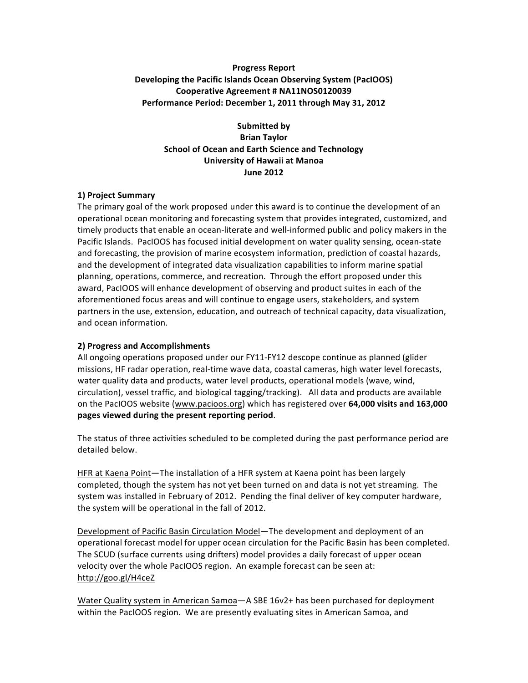# **Progress Report Developing the Pacific Islands Ocean Observing System (PacIOOS) Cooperative Agreement # NA11NOS0120039** Performance Period: December 1, 2011 through May 31, 2012

**Submitted by Brian Taylor School of Ocean and Earth Science and Technology University of Hawaii at Manoa June 2012**

#### **1) Project Summary**

The primary goal of the work proposed under this award is to continue the development of an operational ocean monitoring and forecasting system that provides integrated, customized, and timely products that enable an ocean-literate and well-informed public and policy makers in the Pacific Islands. PacIOOS has focused initial development on water quality sensing, ocean-state and forecasting, the provision of marine ecosystem information, prediction of coastal hazards, and the development of integrated data visualization capabilities to inform marine spatial planning, operations, commerce, and recreation. Through the effort proposed under this award, PacIOOS will enhance development of observing and product suites in each of the aforementioned focus areas and will continue to engage users, stakeholders, and system partners in the use, extension, education, and outreach of technical capacity, data visualization, and ocean information.

#### **2) Progress and Accomplishments**

All ongoing operations proposed under our  $FY11-FY12$  descope continue as planned (glider missions, HF radar operation, real-time wave data, coastal cameras, high water level forecasts, water quality data and products, water level products, operational models (wave, wind, circulation), vessel traffic, and biological tagging/tracking). All data and products are available on the PacIOOS website (www.pacioos.org) which has registered over 64,000 visits and 163,000 **pages viewed during the present reporting period**. 

The status of three activities scheduled to be completed during the past performance period are detailed below.

HFR at Kaena Point—The installation of a HFR system at Kaena point has been largely completed, though the system has not yet been turned on and data is not yet streaming. The system was installed in February of 2012. Pending the final deliver of key computer hardware, the system will be operational in the fall of 2012.

Development of Pacific Basin Circulation Model—The development and deployment of an operational forecast model for upper ocean circulation for the Pacific Basin has been completed. The SCUD (surface currents using drifters) model provides a daily forecast of upper ocean velocity over the whole PacIOOS region. An example forecast can be seen at: http://goo.gl/H4ceZ

Water Quality system in American Samoa-A SBE 16v2+ has been purchased for deployment within the PacIOOS region. We are presently evaluating sites in American Samoa, and